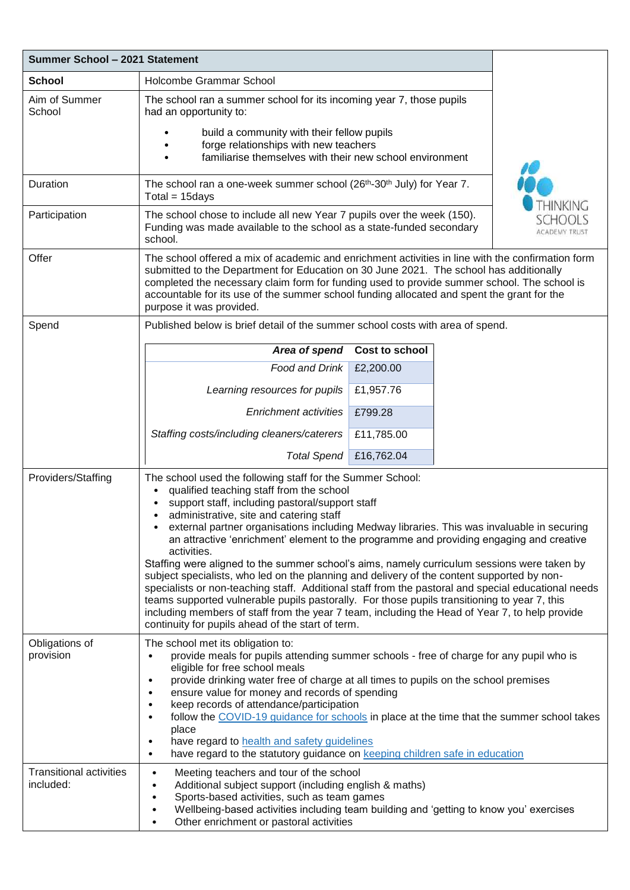| Summer School - 2021 Statement              |                                                                                                                                                                                                                                                                                                                                                                                                                                                                                                                                                                                                                                                                |                |  |  |  |
|---------------------------------------------|----------------------------------------------------------------------------------------------------------------------------------------------------------------------------------------------------------------------------------------------------------------------------------------------------------------------------------------------------------------------------------------------------------------------------------------------------------------------------------------------------------------------------------------------------------------------------------------------------------------------------------------------------------------|----------------|--|--|--|
| <b>School</b>                               | Holcombe Grammar School                                                                                                                                                                                                                                                                                                                                                                                                                                                                                                                                                                                                                                        |                |  |  |  |
| Aim of Summer<br>School                     | The school ran a summer school for its incoming year 7, those pupils<br>had an opportunity to:                                                                                                                                                                                                                                                                                                                                                                                                                                                                                                                                                                 |                |  |  |  |
|                                             | build a community with their fellow pupils<br>forge relationships with new teachers<br>familiarise themselves with their new school environment                                                                                                                                                                                                                                                                                                                                                                                                                                                                                                                |                |  |  |  |
| Duration                                    | THINKING<br>The school ran a one-week summer school (26 <sup>th</sup> -30 <sup>th</sup> July) for Year 7.<br>$Total = 15 days$                                                                                                                                                                                                                                                                                                                                                                                                                                                                                                                                 |                |  |  |  |
| Participation                               | The school chose to include all new Year 7 pupils over the week (150).<br>Funding was made available to the school as a state-funded secondary<br><b>ACADEMY TRUST</b><br>school.                                                                                                                                                                                                                                                                                                                                                                                                                                                                              |                |  |  |  |
| Offer                                       | The school offered a mix of academic and enrichment activities in line with the confirmation form<br>submitted to the Department for Education on 30 June 2021. The school has additionally<br>completed the necessary claim form for funding used to provide summer school. The school is<br>accountable for its use of the summer school funding allocated and spent the grant for the<br>purpose it was provided.                                                                                                                                                                                                                                           |                |  |  |  |
| Spend                                       | Published below is brief detail of the summer school costs with area of spend.                                                                                                                                                                                                                                                                                                                                                                                                                                                                                                                                                                                 |                |  |  |  |
|                                             | Area of spend                                                                                                                                                                                                                                                                                                                                                                                                                                                                                                                                                                                                                                                  | Cost to school |  |  |  |
|                                             | Food and Drink                                                                                                                                                                                                                                                                                                                                                                                                                                                                                                                                                                                                                                                 | £2,200.00      |  |  |  |
|                                             | Learning resources for pupils                                                                                                                                                                                                                                                                                                                                                                                                                                                                                                                                                                                                                                  | £1,957.76      |  |  |  |
|                                             | <b>Enrichment activities</b>                                                                                                                                                                                                                                                                                                                                                                                                                                                                                                                                                                                                                                   | £799.28        |  |  |  |
|                                             | Staffing costs/including cleaners/caterers                                                                                                                                                                                                                                                                                                                                                                                                                                                                                                                                                                                                                     | £11,785.00     |  |  |  |
|                                             | <b>Total Spend</b>                                                                                                                                                                                                                                                                                                                                                                                                                                                                                                                                                                                                                                             | £16,762.04     |  |  |  |
| Providers/Staffing                          | The school used the following staff for the Summer School:<br>qualified teaching staff from the school<br>support staff, including pastoral/support staff<br>administrative, site and catering staff<br>$\bullet$<br>external partner organisations including Medway libraries. This was invaluable in securing<br>an attractive 'enrichment' element to the programme and providing engaging and creative<br>activities.<br>Staffing were aligned to the summer school's aims, namely curriculum sessions were taken by<br>subject specialists, who led on the planning and delivery of the content supported by non-                                         |                |  |  |  |
|                                             | specialists or non-teaching staff. Additional staff from the pastoral and special educational needs<br>teams supported vulnerable pupils pastorally. For those pupils transitioning to year 7, this<br>including members of staff from the year 7 team, including the Head of Year 7, to help provide<br>continuity for pupils ahead of the start of term.                                                                                                                                                                                                                                                                                                     |                |  |  |  |
| Obligations of<br>provision                 | The school met its obligation to:<br>provide meals for pupils attending summer schools - free of charge for any pupil who is<br>eligible for free school meals<br>provide drinking water free of charge at all times to pupils on the school premises<br>$\bullet$<br>ensure value for money and records of spending<br>٠<br>keep records of attendance/participation<br>$\bullet$<br>follow the COVID-19 quidance for schools in place at the time that the summer school takes<br>$\bullet$<br>place<br>have regard to health and safety guidelines<br>$\bullet$<br>have regard to the statutory guidance on keeping children safe in education<br>$\bullet$ |                |  |  |  |
| <b>Transitional activities</b><br>included: | Meeting teachers and tour of the school<br>$\bullet$<br>Additional subject support (including english & maths)<br>$\bullet$<br>Sports-based activities, such as team games<br>$\bullet$<br>Wellbeing-based activities including team building and 'getting to know you' exercises<br>٠<br>Other enrichment or pastoral activities<br>$\bullet$                                                                                                                                                                                                                                                                                                                 |                |  |  |  |